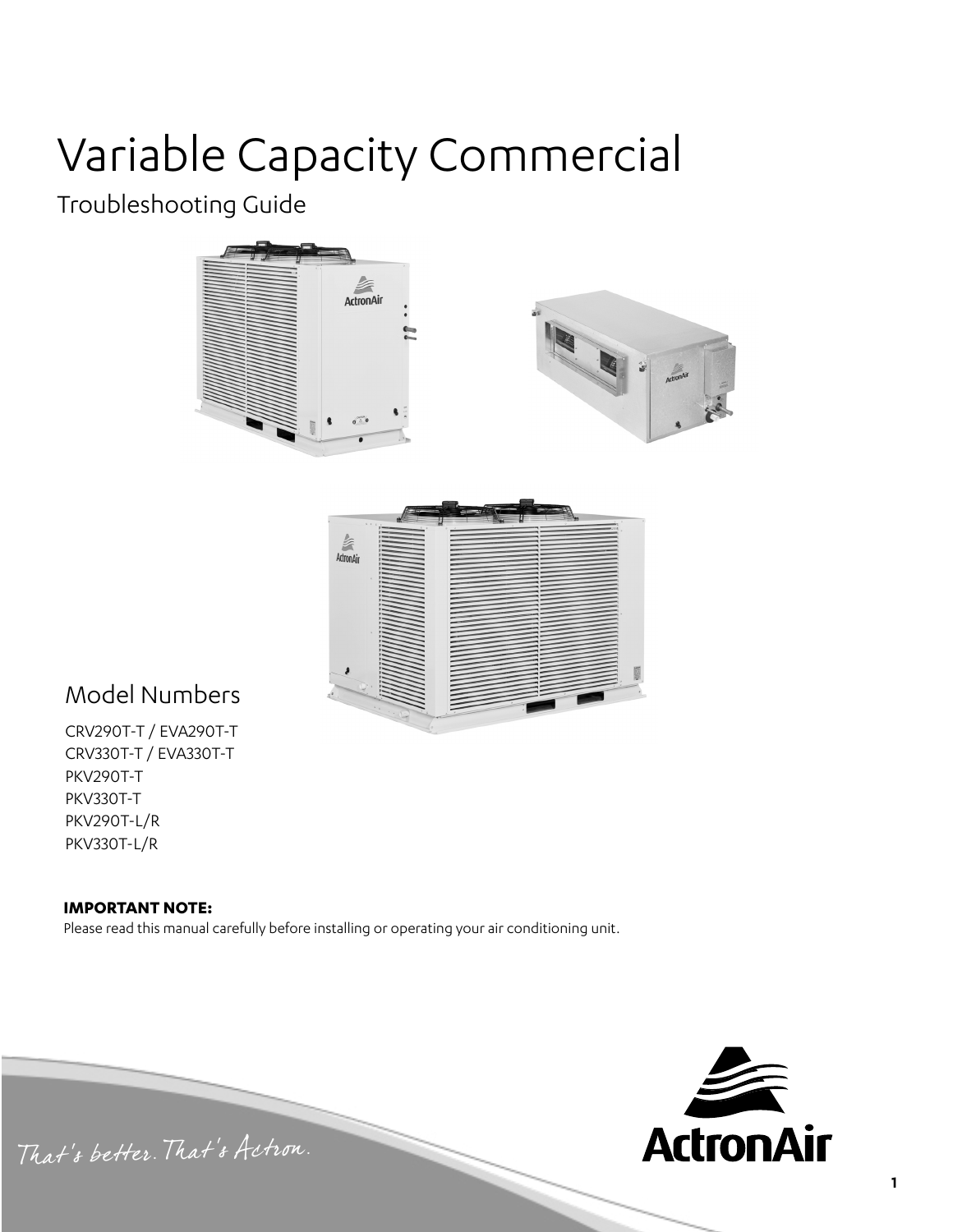# Variable Capacity Commercial

### Troubleshooting Guide





### Model Numbers

CRV290T-T / EVA290T-T CRV330T-T / EVA330T-T PKV290T-T PKV330T-T PKV290T-L/R PKV330T-L/R

#### **IMPORTANT NOTE:**

Please read this manual carefully before installing or operating your air conditioning unit.



That's better. That's Actron.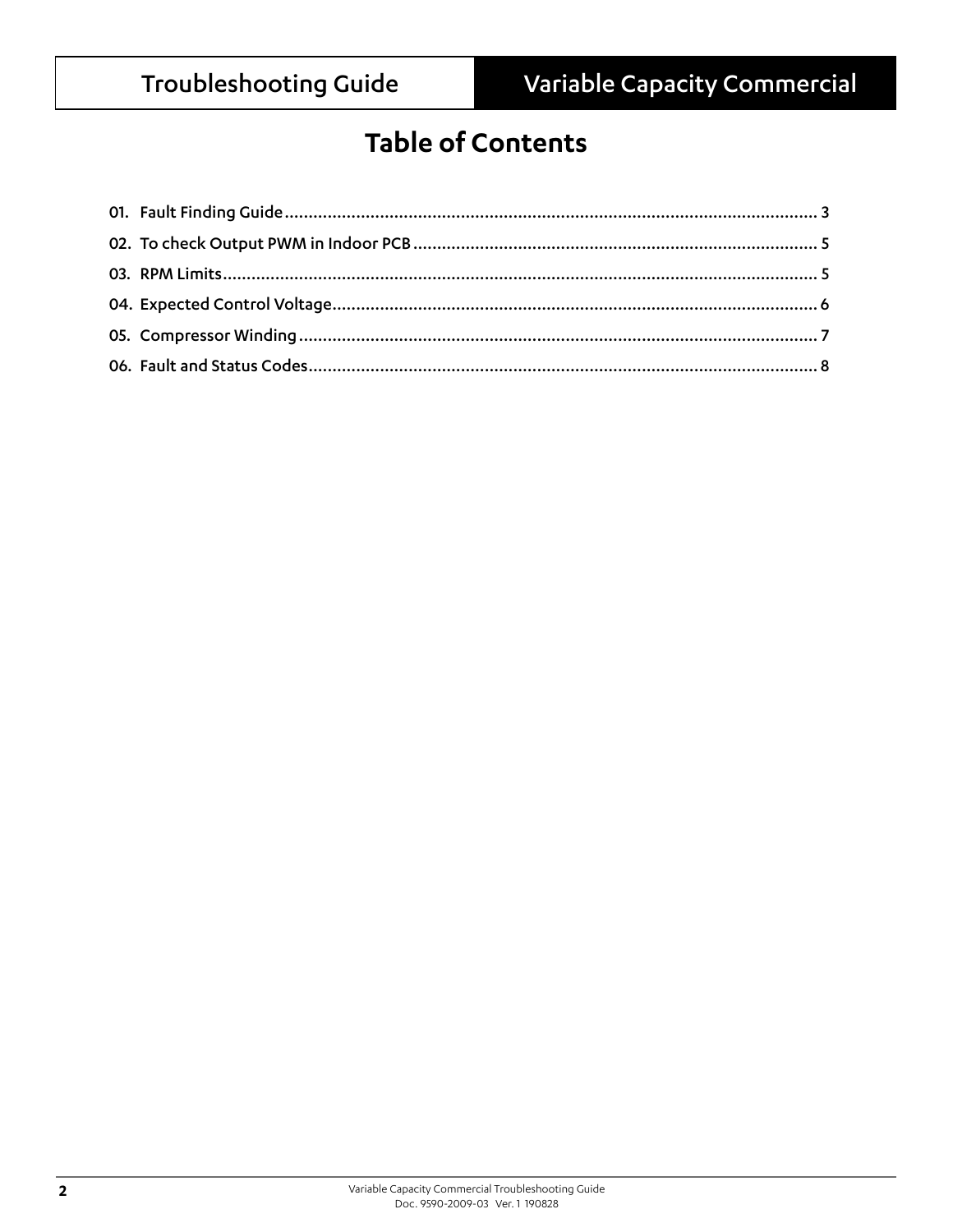### **Table of Contents**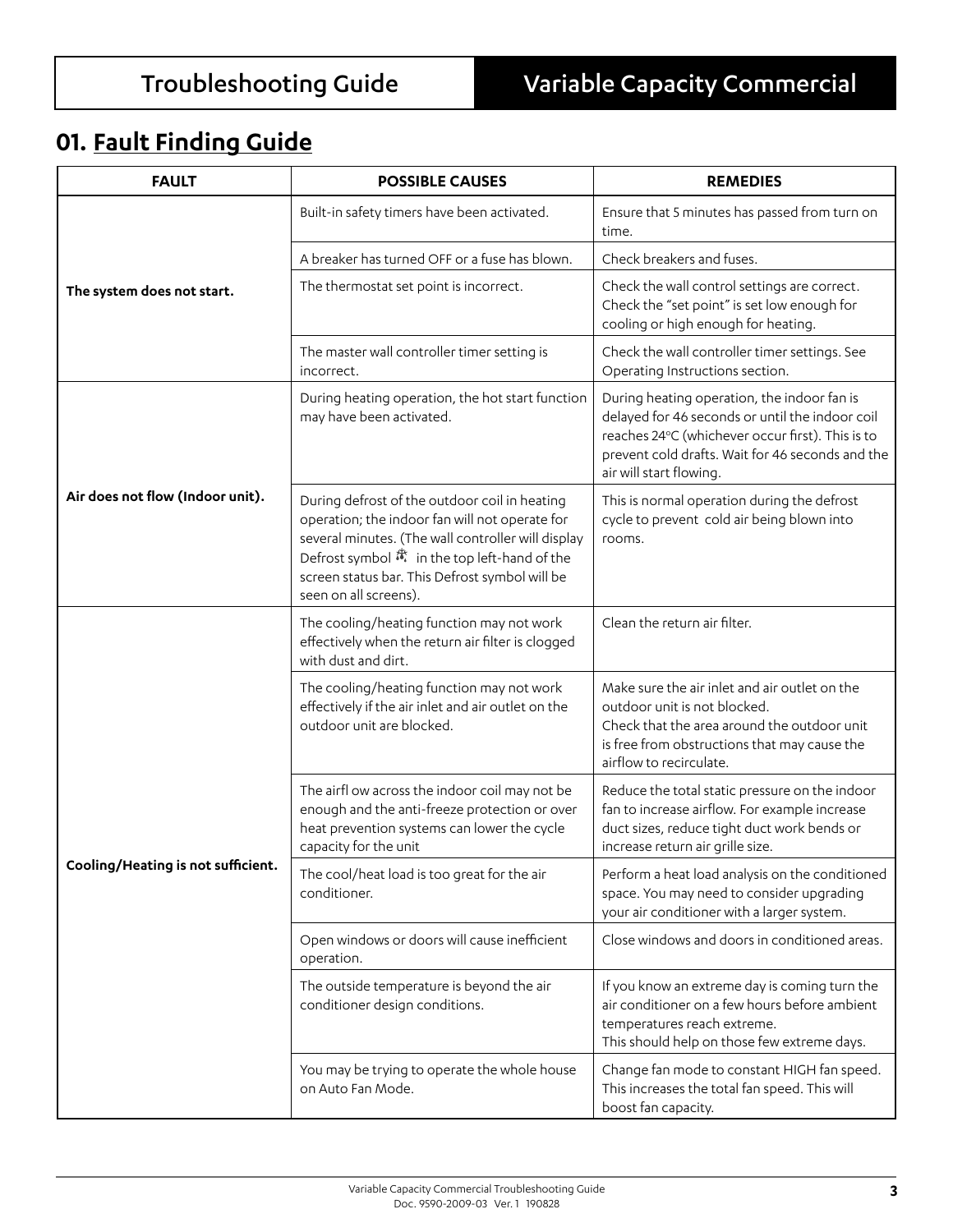### **01. Fault Finding Guide**

| <b>FAULT</b>                       | <b>POSSIBLE CAUSES</b>                                                                                                                                                                                                                                                                                 | <b>REMEDIES</b>                                                                                                                                                                                                                   |  |
|------------------------------------|--------------------------------------------------------------------------------------------------------------------------------------------------------------------------------------------------------------------------------------------------------------------------------------------------------|-----------------------------------------------------------------------------------------------------------------------------------------------------------------------------------------------------------------------------------|--|
|                                    | Built-in safety timers have been activated.                                                                                                                                                                                                                                                            | Ensure that 5 minutes has passed from turn on<br>time.                                                                                                                                                                            |  |
|                                    | A breaker has turned OFF or a fuse has blown.                                                                                                                                                                                                                                                          | Check breakers and fuses.                                                                                                                                                                                                         |  |
| The system does not start.         | The thermostat set point is incorrect.                                                                                                                                                                                                                                                                 | Check the wall control settings are correct.<br>Check the "set point" is set low enough for<br>cooling or high enough for heating.                                                                                                |  |
|                                    | The master wall controller timer setting is<br>incorrect.                                                                                                                                                                                                                                              | Check the wall controller timer settings. See<br>Operating Instructions section.                                                                                                                                                  |  |
|                                    | During heating operation, the hot start function<br>may have been activated.                                                                                                                                                                                                                           | During heating operation, the indoor fan is<br>delayed for 46 seconds or until the indoor coil<br>reaches 24°C (whichever occur first). This is to<br>prevent cold drafts. Wait for 46 seconds and the<br>air will start flowing. |  |
| Air does not flow (Indoor unit).   | During defrost of the outdoor coil in heating<br>operation; the indoor fan will not operate for<br>several minutes. (The wall controller will display<br>Defrost symbol $\stackrel{*}{\bullet}$ in the top left-hand of the<br>screen status bar. This Defrost symbol will be<br>seen on all screens). | This is normal operation during the defrost<br>cycle to prevent cold air being blown into<br>rooms.                                                                                                                               |  |
|                                    | The cooling/heating function may not work<br>effectively when the return air filter is clogged<br>with dust and dirt.                                                                                                                                                                                  | Clean the return air filter.                                                                                                                                                                                                      |  |
|                                    | The cooling/heating function may not work<br>effectively if the air inlet and air outlet on the<br>outdoor unit are blocked.                                                                                                                                                                           | Make sure the air inlet and air outlet on the<br>outdoor unit is not blocked.<br>Check that the area around the outdoor unit<br>is free from obstructions that may cause the<br>airflow to recirculate.                           |  |
|                                    | The airfl ow across the indoor coil may not be<br>enough and the anti-freeze protection or over<br>heat prevention systems can lower the cycle<br>capacity for the unit                                                                                                                                | Reduce the total static pressure on the indoor<br>fan to increase airflow. For example increase<br>duct sizes, reduce tight duct work bends or<br>increase return air grille size.                                                |  |
| Cooling/Heating is not sufficient. | The cool/heat load is too great for the air<br>conditioner.                                                                                                                                                                                                                                            | Perform a heat load analysis on the conditioned<br>space. You may need to consider upgrading<br>your air conditioner with a larger system.                                                                                        |  |
|                                    | Open windows or doors will cause inefficient<br>operation.                                                                                                                                                                                                                                             | Close windows and doors in conditioned areas.                                                                                                                                                                                     |  |
|                                    | The outside temperature is beyond the air<br>conditioner design conditions.                                                                                                                                                                                                                            | If you know an extreme day is coming turn the<br>air conditioner on a few hours before ambient<br>temperatures reach extreme.<br>This should help on those few extreme days.                                                      |  |
|                                    | You may be trying to operate the whole house<br>on Auto Fan Mode.                                                                                                                                                                                                                                      | Change fan mode to constant HIGH fan speed.<br>This increases the total fan speed. This will<br>boost fan capacity.                                                                                                               |  |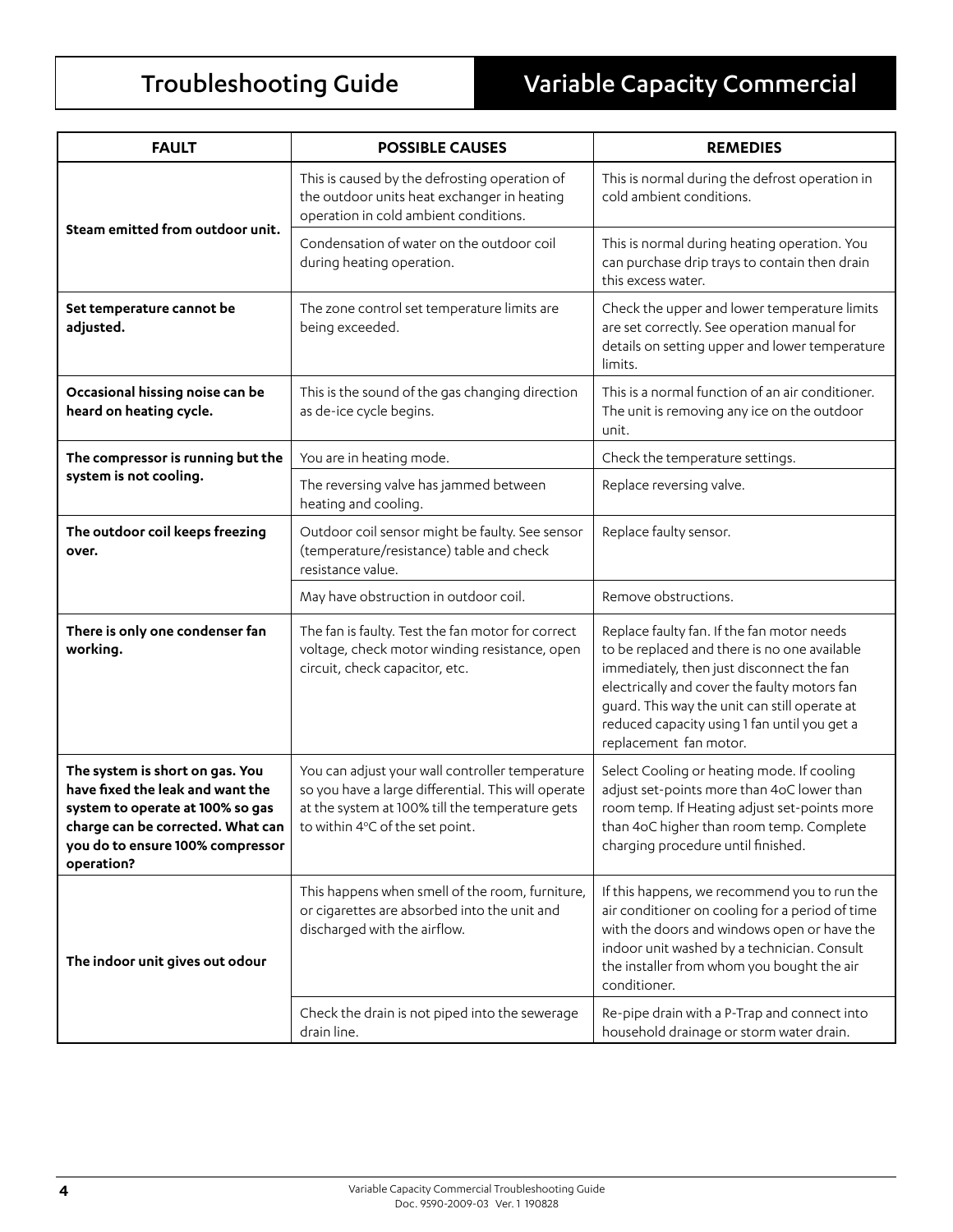## Troubleshooting Guide Variable Capacity Commercial

| <b>FAULT</b>                                                                                                                                                                                   | <b>POSSIBLE CAUSES</b>                                                                                                                                                                       | <b>REMEDIES</b>                                                                                                                                                                                                                                                                                                    |  |
|------------------------------------------------------------------------------------------------------------------------------------------------------------------------------------------------|----------------------------------------------------------------------------------------------------------------------------------------------------------------------------------------------|--------------------------------------------------------------------------------------------------------------------------------------------------------------------------------------------------------------------------------------------------------------------------------------------------------------------|--|
| Steam emitted from outdoor unit.                                                                                                                                                               | This is caused by the defrosting operation of<br>the outdoor units heat exchanger in heating<br>operation in cold ambient conditions.                                                        | This is normal during the defrost operation in<br>cold ambient conditions.                                                                                                                                                                                                                                         |  |
|                                                                                                                                                                                                | Condensation of water on the outdoor coil<br>during heating operation.                                                                                                                       | This is normal during heating operation. You<br>can purchase drip trays to contain then drain<br>this excess water.                                                                                                                                                                                                |  |
| Set temperature cannot be<br>adjusted.                                                                                                                                                         | The zone control set temperature limits are<br>being exceeded.                                                                                                                               | Check the upper and lower temperature limits<br>are set correctly. See operation manual for<br>details on setting upper and lower temperature<br>limits.                                                                                                                                                           |  |
| Occasional hissing noise can be<br>heard on heating cycle.                                                                                                                                     | This is the sound of the gas changing direction<br>as de-ice cycle begins.                                                                                                                   | This is a normal function of an air conditioner.<br>The unit is removing any ice on the outdoor<br>unit.                                                                                                                                                                                                           |  |
| The compressor is running but the                                                                                                                                                              | You are in heating mode.                                                                                                                                                                     | Check the temperature settings.                                                                                                                                                                                                                                                                                    |  |
| system is not cooling.                                                                                                                                                                         | The reversing valve has jammed between<br>heating and cooling.                                                                                                                               | Replace reversing valve.                                                                                                                                                                                                                                                                                           |  |
| The outdoor coil keeps freezing<br>over.                                                                                                                                                       | Outdoor coil sensor might be faulty. See sensor<br>(temperature/resistance) table and check<br>resistance value.                                                                             | Replace faulty sensor.                                                                                                                                                                                                                                                                                             |  |
|                                                                                                                                                                                                | May have obstruction in outdoor coil.                                                                                                                                                        | Remove obstructions.                                                                                                                                                                                                                                                                                               |  |
| There is only one condenser fan<br>working.                                                                                                                                                    | The fan is faulty. Test the fan motor for correct<br>voltage, check motor winding resistance, open<br>circuit, check capacitor, etc.                                                         | Replace faulty fan. If the fan motor needs<br>to be replaced and there is no one available<br>immediately, then just disconnect the fan<br>electrically and cover the faulty motors fan<br>guard. This way the unit can still operate at<br>reduced capacity using 1 fan until you get a<br>replacement fan motor. |  |
| The system is short on gas. You<br>have fixed the leak and want the<br>system to operate at 100% so gas<br>charge can be corrected. What can<br>you do to ensure 100% compressor<br>operation? | You can adjust your wall controller temperature<br>so you have a large differential. This will operate<br>at the system at 100% till the temperature gets<br>to within 4°C of the set point. | Select Cooling or heating mode. If cooling<br>adjust set-points more than 4oC lower than<br>room temp. If Heating adjust set-points more<br>than 4oC higher than room temp. Complete<br>charging procedure until finished.                                                                                         |  |
| The indoor unit gives out odour                                                                                                                                                                | This happens when smell of the room, furniture,<br>or cigarettes are absorbed into the unit and<br>discharged with the airflow.                                                              | If this happens, we recommend you to run the<br>air conditioner on cooling for a period of time<br>with the doors and windows open or have the<br>indoor unit washed by a technician. Consult<br>the installer from whom you bought the air<br>conditioner.                                                        |  |
|                                                                                                                                                                                                | Check the drain is not piped into the sewerage<br>drain line.                                                                                                                                | Re-pipe drain with a P-Trap and connect into<br>household drainage or storm water drain.                                                                                                                                                                                                                           |  |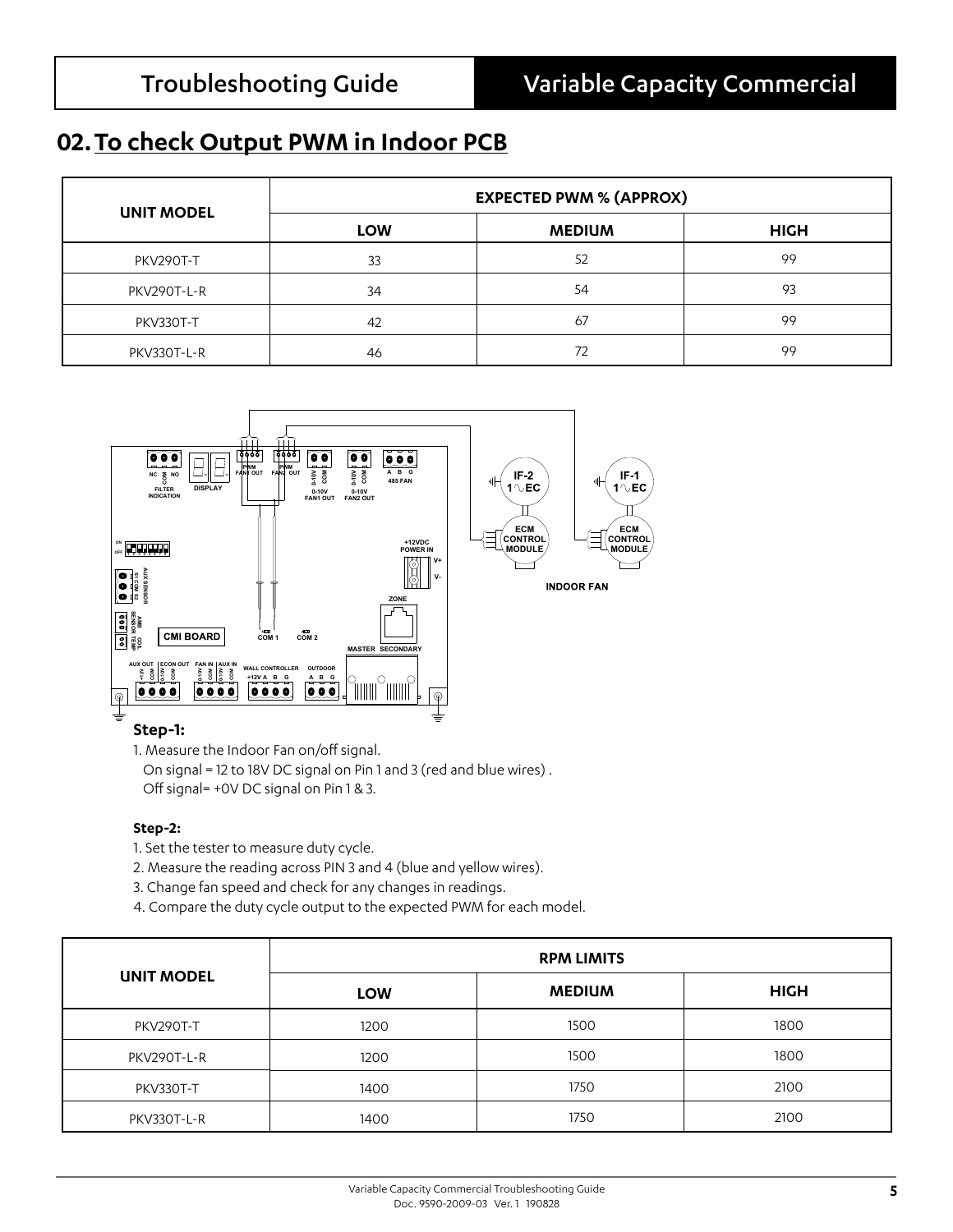### **02.To check Output PWM in Indoor PCB**

| <b>UNIT MODEL</b> | <b>EXPECTED PWM % (APPROX)</b> |               |             |  |
|-------------------|--------------------------------|---------------|-------------|--|
|                   | <b>LOW</b>                     | <b>MEDIUM</b> | <b>HIGH</b> |  |
| PKV290T-T         | 33                             | 52            | 99          |  |
| PKV290T-L-R       | 34                             | 54            | 93          |  |
| PKV330T-T         | 42                             | 67            | 99          |  |
| PKV330T-L-R       | 46                             | 72            | 99          |  |



1. Measure the Indoor Fan on/off signal.

 On signal = 12 to 18V DC signal on Pin 1 and 3 (red and blue wires) . Off signal= +0V DC signal on Pin 1 & 3.

#### **Step-2:**

- 1. Set the tester to measure duty cycle.
- 2. Measure the reading across PIN 3 and 4 (blue and yellow wires).
- 3. Change fan speed and check for any changes in readings.
- 4. Compare the duty cycle output to the expected PWM for each model.

|                   | <b>RPM LIMITS</b> |               |             |  |
|-------------------|-------------------|---------------|-------------|--|
| <b>UNIT MODEL</b> | <b>LOW</b>        | <b>MEDIUM</b> | <b>HIGH</b> |  |
| PKV290T-T         | 1200              | 1500          | 1800        |  |
| PKV290T-L-R       | 1200              | 1500          | 1800        |  |
| PKV330T-T         | 1400              | 1750          | 2100        |  |
| PKV330T-L-R       | 1400              | 1750          | 2100        |  |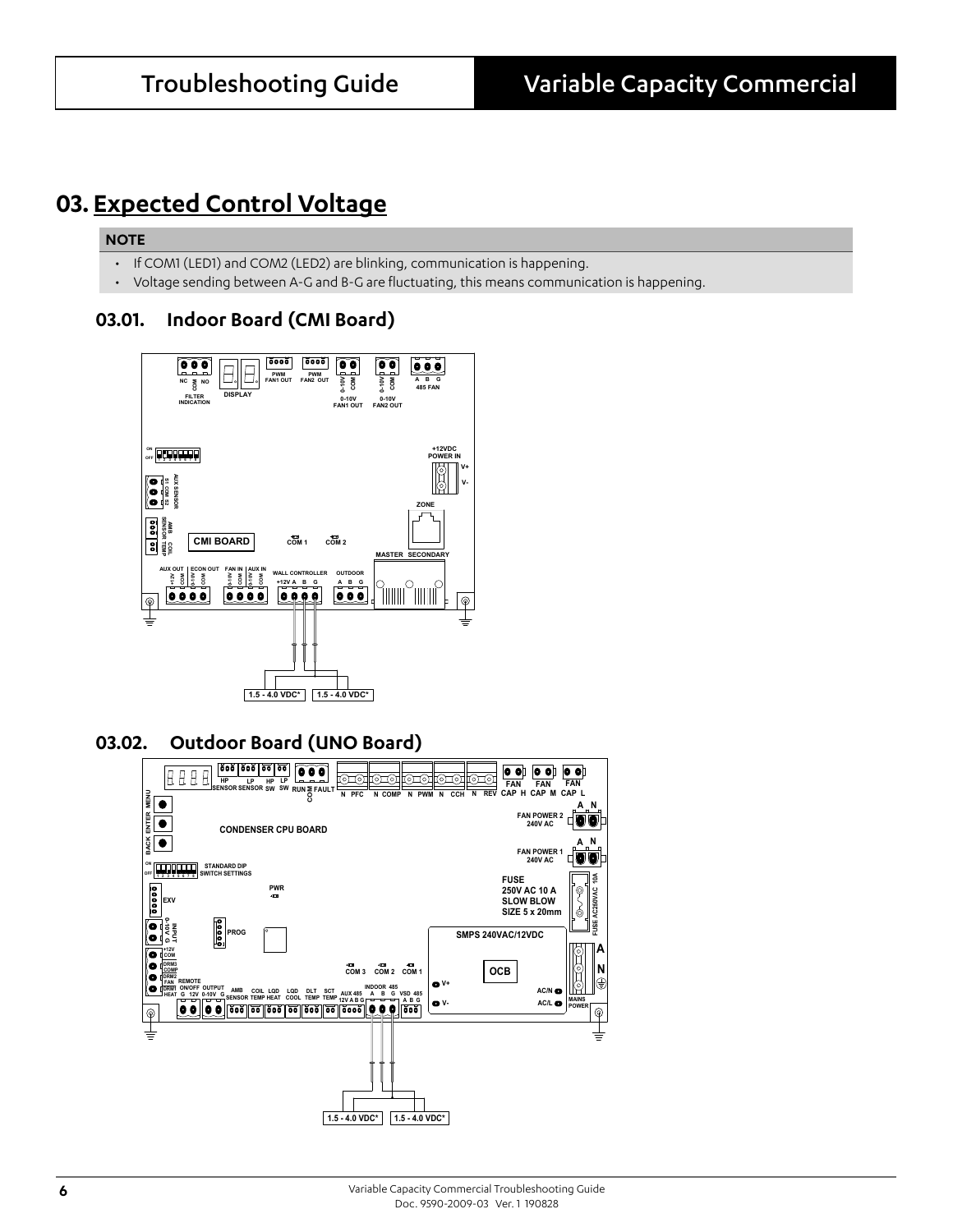### **03. Expected Control Voltage**

#### **NOTE**

- If COM1 (LED1) and COM2 (LED2) are blinking, communication is happening.
- Voltage sending between A-G and B-G are fluctuating, this means communication is happening.

### **03.01. Indoor Board (CMI Board)**



#### **03.02. Outdoor Board (UNO Board)**

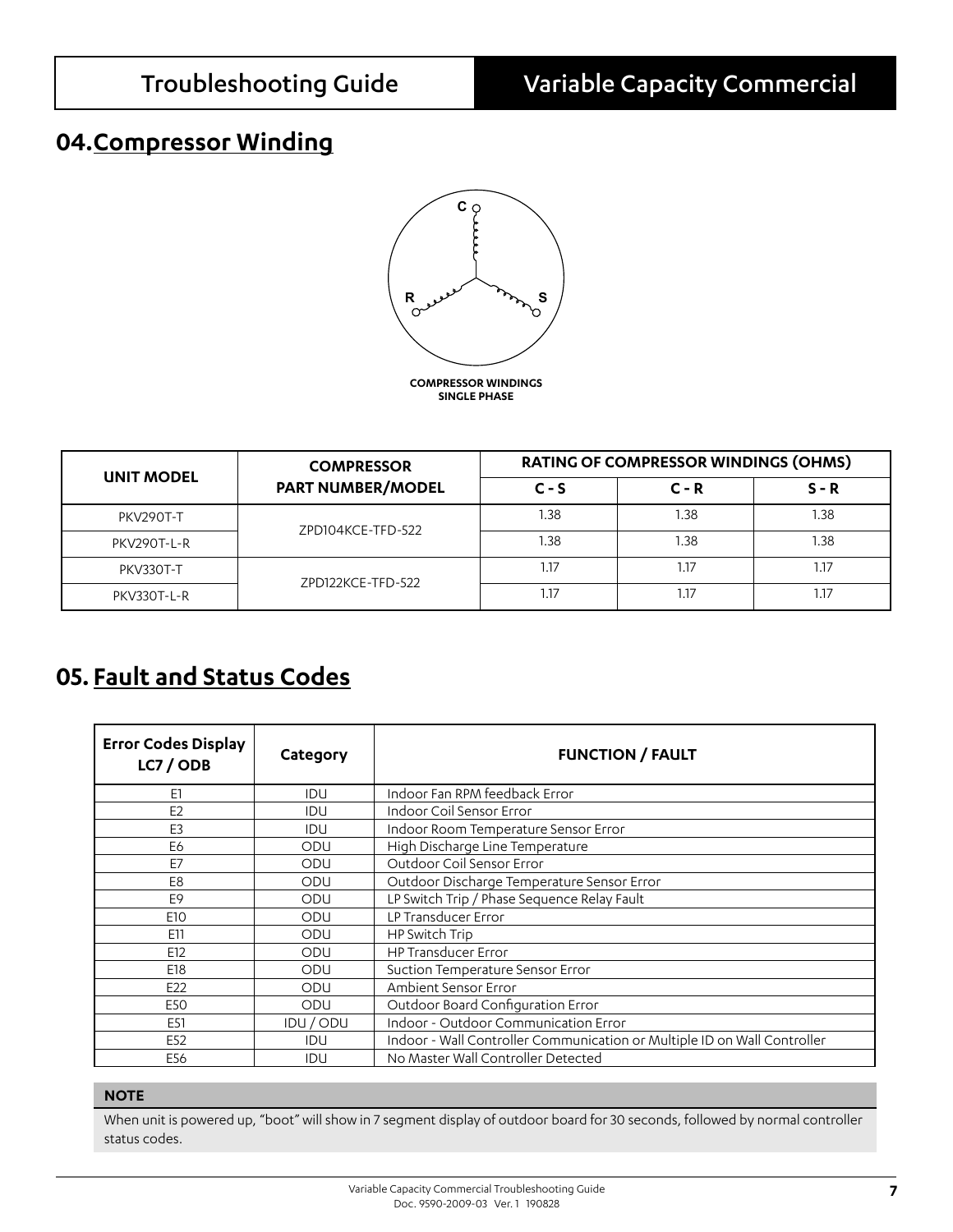### **04.Compressor Winding**



|             | <b>COMPRESSOR</b>        | <b>RATING OF COMPRESSOR WINDINGS (OHMS)</b> |         |         |
|-------------|--------------------------|---------------------------------------------|---------|---------|
| UNIT MODEL  | <b>PART NUMBER/MODEL</b> | $C - S$                                     | $C - R$ | $S - R$ |
| PKV290T-T   | ZPD104KCE-TFD-522        | 1.38                                        | 1.38    | 1.38    |
| PKV290T-L-R |                          | 1.38                                        | 1.38    | 1.38    |
| PKV330T-T   | ZPD122KCE-TFD-522        | 1.17                                        | 1.17    | 1.17    |
| PKV330T-L-R |                          | 1.17                                        | 1.17    | 17ء     |

### **05. Fault and Status Codes**

| <b>Error Codes Display</b><br>LC7/ODB | Category   | <b>FUNCTION / FAULT</b>                                                  |
|---------------------------------------|------------|--------------------------------------------------------------------------|
| E1                                    | <b>IDU</b> | Indoor Fan RPM feedback Error                                            |
| E2                                    | <b>IDU</b> | Indoor Coil Sensor Error                                                 |
| E <sub>3</sub>                        | <b>IDU</b> | Indoor Room Temperature Sensor Error                                     |
| E6                                    | ODU        | High Discharge Line Temperature                                          |
| E7                                    | ODU        | Outdoor Coil Sensor Error                                                |
| E8                                    | ODU        | Outdoor Discharge Temperature Sensor Error                               |
| E9                                    | ODU        | LP Switch Trip / Phase Sequence Relay Fault                              |
| E <sub>10</sub>                       | ODU        | LP Transducer Error                                                      |
| E11                                   | ODU        | HP Switch Trip                                                           |
| E12                                   | ODU        | <b>HP Transducer Error</b>                                               |
| E18                                   | ODU        | Suction Temperature Sensor Error                                         |
| E <sub>22</sub>                       | ODU        | Ambient Sensor Error                                                     |
| E50                                   | ODU        | Outdoor Board Configuration Error                                        |
| E <sub>51</sub>                       | IDU / ODU  | Indoor - Outdoor Communication Error                                     |
| E52                                   | IDU        | Indoor - Wall Controller Communication or Multiple ID on Wall Controller |
| E56                                   | IDU        | No Master Wall Controller Detected                                       |

#### **NOTE**

When unit is powered up, "boot" will show in 7 segment display of outdoor board for 30 seconds, followed by normal controller status codes.